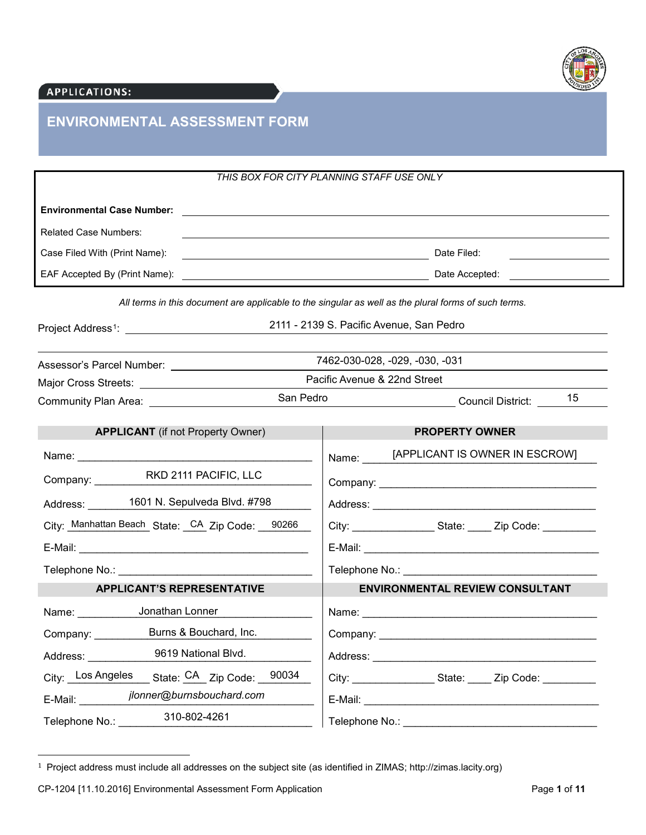

# APPLICATIONS:

# **ENVIRONMENTAL ASSESSMENT FORM**

|                                                                                                                                                                                                                                                       | THIS BOX FOR CITY PLANNING STAFF USE ONLY                                                                            |                                                            |                                                                                                                                                                                                                                |  |                                                                                                                      |
|-------------------------------------------------------------------------------------------------------------------------------------------------------------------------------------------------------------------------------------------------------|----------------------------------------------------------------------------------------------------------------------|------------------------------------------------------------|--------------------------------------------------------------------------------------------------------------------------------------------------------------------------------------------------------------------------------|--|----------------------------------------------------------------------------------------------------------------------|
| <b>Environmental Case Number:</b>                                                                                                                                                                                                                     | <u> 1989 - Johann Barn, mars ann an t-Amhainn an t-Amhainn an t-Amhainn an t-Amhainn an t-Amhainn an t-Amhainn a</u> |                                                            |                                                                                                                                                                                                                                |  |                                                                                                                      |
| <b>Related Case Numbers:</b>                                                                                                                                                                                                                          |                                                                                                                      |                                                            |                                                                                                                                                                                                                                |  |                                                                                                                      |
| Case Filed With (Print Name):                                                                                                                                                                                                                         |                                                                                                                      |                                                            |                                                                                                                                                                                                                                |  |                                                                                                                      |
| EAF Accepted By (Print Name):                                                                                                                                                                                                                         | Date Accepted:                                                                                                       |                                                            |                                                                                                                                                                                                                                |  | <u> 1989 - Jan Barbara Barat, prima popular popular popular popular popular popular popular popular popular popu</u> |
| All terms in this document are applicable to the singular as well as the plural forms of such terms.                                                                                                                                                  |                                                                                                                      |                                                            |                                                                                                                                                                                                                                |  |                                                                                                                      |
|                                                                                                                                                                                                                                                       |                                                                                                                      |                                                            | 2111 - 2139 S. Pacific Avenue, San Pedro                                                                                                                                                                                       |  |                                                                                                                      |
|                                                                                                                                                                                                                                                       |                                                                                                                      |                                                            | 7462-030-028, -029, -030, -031                                                                                                                                                                                                 |  |                                                                                                                      |
|                                                                                                                                                                                                                                                       | San Pedro                                                                                                            |                                                            | Pacific Avenue & 22nd Street                                                                                                                                                                                                   |  |                                                                                                                      |
|                                                                                                                                                                                                                                                       |                                                                                                                      | _______________________________Council District: _______15 |                                                                                                                                                                                                                                |  |                                                                                                                      |
| <b>APPLICANT</b> (if not Property Owner)                                                                                                                                                                                                              |                                                                                                                      |                                                            | <b>PROPERTY OWNER</b>                                                                                                                                                                                                          |  |                                                                                                                      |
| Name: We have a state of the state of the state of the state of the state of the state of the state of the state of the state of the state of the state of the state of the state of the state of the state of the state of th                        |                                                                                                                      |                                                            | Name: [APPLICANT IS OWNER IN ESCROW]                                                                                                                                                                                           |  |                                                                                                                      |
|                                                                                                                                                                                                                                                       |                                                                                                                      |                                                            |                                                                                                                                                                                                                                |  |                                                                                                                      |
| Address: 1601 N. Sepulveda Blvd. #798                                                                                                                                                                                                                 |                                                                                                                      |                                                            |                                                                                                                                                                                                                                |  |                                                                                                                      |
| City: Manhattan Beach State: CA Zip Code: 90266                                                                                                                                                                                                       |                                                                                                                      |                                                            | City: ___________________State: _____ Zip Code: __________                                                                                                                                                                     |  |                                                                                                                      |
|                                                                                                                                                                                                                                                       |                                                                                                                      |                                                            |                                                                                                                                                                                                                                |  |                                                                                                                      |
| Telephone No.: University of the Contract of the Contract of the Contract of the Contract of the Contract of the Contract of the Contract of the Contract of the Contract of the Contract of the Contract of the Contract of t                        |                                                                                                                      |                                                            |                                                                                                                                                                                                                                |  |                                                                                                                      |
| <b>APPLICANT'S REPRESENTATIVE</b>                                                                                                                                                                                                                     |                                                                                                                      |                                                            | <b>ENVIRONMENTAL REVIEW CONSULTANT</b>                                                                                                                                                                                         |  |                                                                                                                      |
| Name: Jonathan Lonner                                                                                                                                                                                                                                 |                                                                                                                      |                                                            |                                                                                                                                                                                                                                |  |                                                                                                                      |
| Company: __________ Burns & Bouchard, Inc.                                                                                                                                                                                                            |                                                                                                                      |                                                            |                                                                                                                                                                                                                                |  |                                                                                                                      |
| 9619 National Blvd.<br>Address: Andreas Address and Address and Address and Address and Address and Address and Address and Address and Address and Address and Address and Address and Address and Address and Address and Address and Address and A |                                                                                                                      |                                                            | Address: Analysis and the contract of the contract of the contract of the contract of the contract of the contract of the contract of the contract of the contract of the contract of the contract of the contract of the cont |  |                                                                                                                      |
| City: _ Los Angeles                                                                                                                                                                                                                                   | State: CA_Zip Code: 90034                                                                                            |                                                            | City: ___________________________State: ________ Zip Code: ______________                                                                                                                                                      |  |                                                                                                                      |
| jlonner@burnsbouchard.com<br>E-Mail:                                                                                                                                                                                                                  |                                                                                                                      |                                                            |                                                                                                                                                                                                                                |  |                                                                                                                      |
| 310-802-4261<br>Telephone No.:                                                                                                                                                                                                                        |                                                                                                                      |                                                            |                                                                                                                                                                                                                                |  |                                                                                                                      |

 <sup>1</sup> Project address must include all addresses on the subject site (as identified in ZIMAS; http://zimas.lacity.org)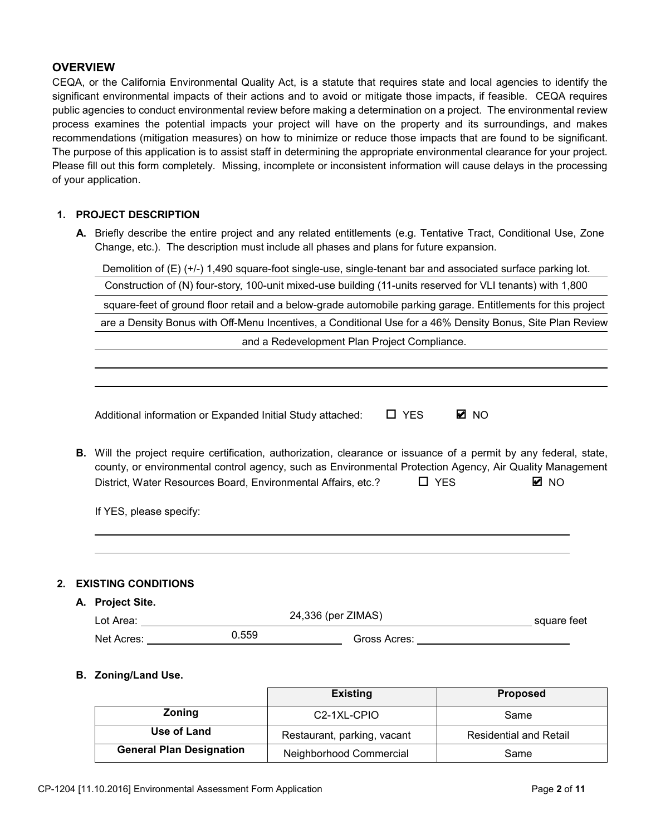## **OVERVIEW**

CEQA, or the California Environmental Quality Act, is a statute that requires state and local agencies to identify the significant environmental impacts of their actions and to avoid or mitigate those impacts, if feasible. CEQA requires public agencies to conduct environmental review before making a determination on a project. The environmental review process examines the potential impacts your project will have on the property and its surroundings, and makes recommendations (mitigation measures) on how to minimize or reduce those impacts that are found to be significant. The purpose of this application is to assist staff in determining the appropriate environmental clearance for your project. Please fill out this form completely. Missing, incomplete or inconsistent information will cause delays in the processing of your application.

#### **PROJECT DESC5IPTION**

**\$** Briefly describe the entire project and any related entitlements (e.g. Tentative Tract, Conditional Use, Zone Change, etc.). The description must include all phases and plans for future expansion.

| Construction of (N) four-story, 100-unit mixed-use building (11-units reserved for VLI tenants) with 1,800<br>square-feet of ground floor retail and a below-grade automobile parking garage. Entitlements for this project                                                                                                         |  |  |  |  |  |
|-------------------------------------------------------------------------------------------------------------------------------------------------------------------------------------------------------------------------------------------------------------------------------------------------------------------------------------|--|--|--|--|--|
|                                                                                                                                                                                                                                                                                                                                     |  |  |  |  |  |
|                                                                                                                                                                                                                                                                                                                                     |  |  |  |  |  |
| are a Density Bonus with Off-Menu Incentives, a Conditional Use for a 46% Density Bonus, Site Plan Review                                                                                                                                                                                                                           |  |  |  |  |  |
| and a Redevelopment Plan Project Compliance.                                                                                                                                                                                                                                                                                        |  |  |  |  |  |
|                                                                                                                                                                                                                                                                                                                                     |  |  |  |  |  |
|                                                                                                                                                                                                                                                                                                                                     |  |  |  |  |  |
| $\Box$ YES<br><b>Ø</b> NO<br>Additional information or Expanded Initial Study attached:                                                                                                                                                                                                                                             |  |  |  |  |  |
| <b>B.</b> Will the project require certification, authorization, clearance or issuance of a permit by any federal, state,<br>county, or environmental control agency, such as Environmental Protection Agency, Air Quality Management<br>$\Box$ YES<br><b>Ø</b> NO<br>District, Water Resources Board, Environmental Affairs, etc.? |  |  |  |  |  |
| If YES, please specify:                                                                                                                                                                                                                                                                                                             |  |  |  |  |  |
|                                                                                                                                                                                                                                                                                                                                     |  |  |  |  |  |

**A. Project Site.**

| Lot Area:  | 24,336 (per ZIMAS)    | square feet |
|------------|-----------------------|-------------|
| Net Acres: | 0.559<br>Gross Acres: |             |

#### **B. Zoning/Land Use.**

|                                 | <b>Existing</b>             | <b>Proposed</b>               |  |
|---------------------------------|-----------------------------|-------------------------------|--|
| Zoning                          | C <sub>2</sub> -1XL-CPIO    | Same                          |  |
| Use of Land                     | Restaurant, parking, vacant | <b>Residential and Retail</b> |  |
| <b>General Plan Designation</b> | Neighborhood Commercial     | Same                          |  |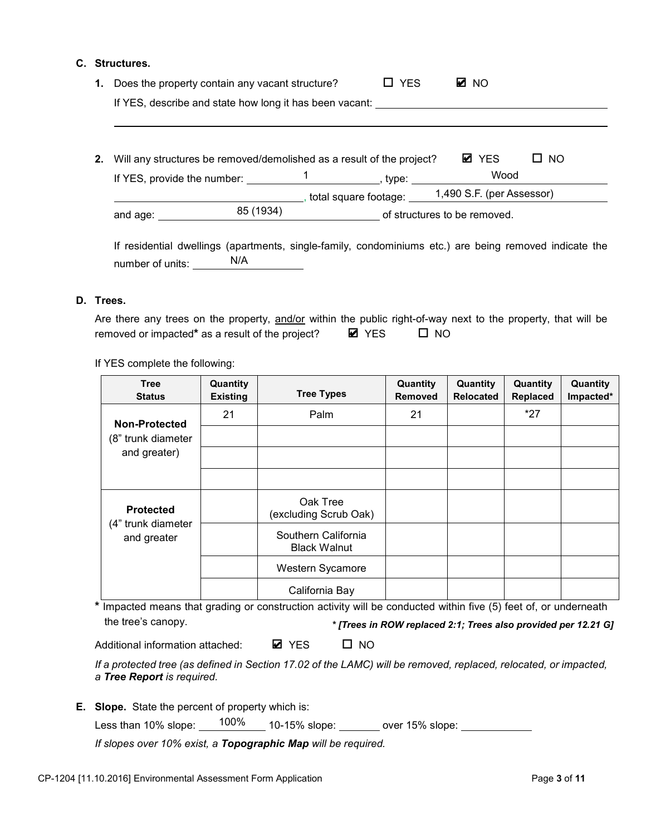#### **C. Structures.**

| 1. | Does the property contain any vacant structure?                                                        |           |                              | $\Box$ YES | M NO                                                  |     |
|----|--------------------------------------------------------------------------------------------------------|-----------|------------------------------|------------|-------------------------------------------------------|-----|
|    | If YES, describe and state how long it has been vacant:                                                |           |                              |            |                                                       |     |
|    |                                                                                                        |           |                              |            |                                                       |     |
| 2. | Will any structures be removed/demolished as a result of the project?                                  |           |                              |            | <b>Ø</b> YES                                          | NO. |
|    | If YES, provide the number: $\frac{1}{\sqrt{1-\frac{1}{2}}}\$ , type:                                  |           |                              |            | Wood                                                  |     |
|    |                                                                                                        |           |                              |            | _, total square footage:<br>1,490 S.F. (per Assessor) |     |
|    | and age:                                                                                               | 85 (1934) | of structures to be removed. |            |                                                       |     |
|    |                                                                                                        |           |                              |            |                                                       |     |
|    | If residential dwellings (apartments, single-family, condominiums etc.) are being removed indicate the |           |                              |            |                                                       |     |
|    | N/A<br>number of units:                                                                                |           |                              |            |                                                       |     |

#### **D. Trees.**

| Are there any trees on the property, and/or within the public right-of-way next to the property, that will be |              |              |  |
|---------------------------------------------------------------------------------------------------------------|--------------|--------------|--|
| removed or impacted* as a result of the project?                                                              | <b>Ø</b> YES | $\square$ NO |  |

If YES complete the following:

| <b>Tree</b><br><b>Status</b>      | Quantity<br><b>Existing</b> | <b>Tree Types</b>                          | Quantity<br><b>Removed</b> | Quantity<br><b>Relocated</b> | Quantity<br><b>Replaced</b> | Quantity<br>Impacted* |
|-----------------------------------|-----------------------------|--------------------------------------------|----------------------------|------------------------------|-----------------------------|-----------------------|
| Non-Protected                     | 21                          | Palm                                       | 21                         |                              | $*27$                       |                       |
| (8" trunk diameter                |                             |                                            |                            |                              |                             |                       |
| and greater)                      |                             |                                            |                            |                              |                             |                       |
|                                   |                             |                                            |                            |                              |                             |                       |
| <b>Protected</b>                  |                             | Oak Tree<br>(excluding Scrub Oak)          |                            |                              |                             |                       |
| (4" trunk diameter<br>and greater |                             | Southern California<br><b>Black Walnut</b> |                            |                              |                             |                       |
|                                   |                             | Western Sycamore                           |                            |                              |                             |                       |
|                                   |                             | California Bay                             |                            |                              |                             |                       |

**\*** Impacted means that grading or construction activity will be conducted within five (5) feet of, or underneath the tree's canopy. *\* [Trees in ROW replaced 2:1; Trees also provided per 12.21 G]* 

Additional information attached: ■ YES □ NO **Ø** YES

*If a protected tree (as defined in Section 17.02 of the LAMC) will be removed, replaced, relocated, or impacted, a Tree Report is required.*

**E. Slope.** State the percent of property which is:

Less than 10% slope: \_\_\_\_<sup>100%</sup>\_\_\_\_10-15% slope: \_\_\_\_\_\_\_ over 15% slope:

*If slopes over 10% exist, a Topographic Map will be required.*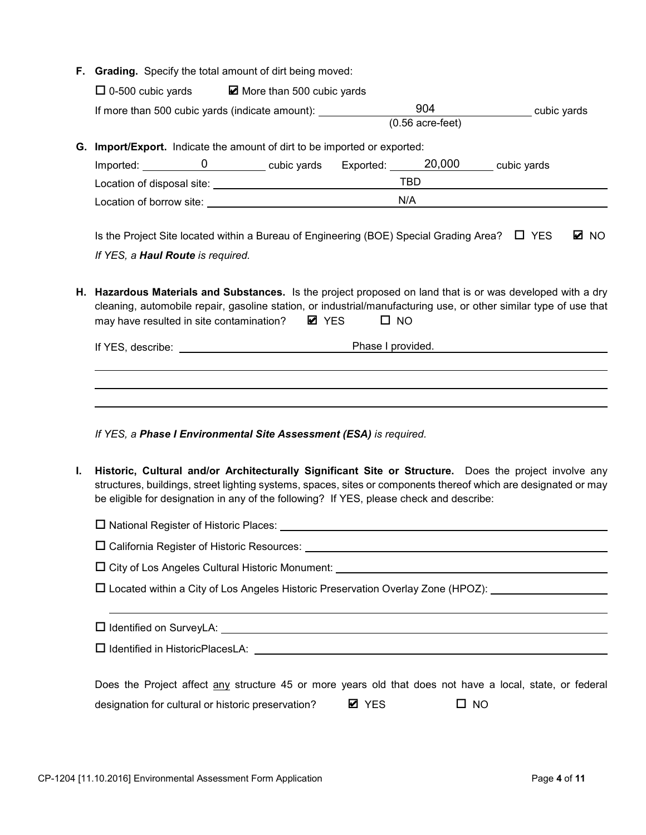|    | F. Grading. Specify the total amount of dirt being moved:                                                                                                                                                                                                                                                           |              |                                   |             |  |  |  |  |
|----|---------------------------------------------------------------------------------------------------------------------------------------------------------------------------------------------------------------------------------------------------------------------------------------------------------------------|--------------|-----------------------------------|-------------|--|--|--|--|
|    | $\Box$ 0-500 cubic yards $\Box$ More than 500 cubic yards                                                                                                                                                                                                                                                           |              |                                   |             |  |  |  |  |
|    | If more than 500 cubic yards (indicate amount): ________________________________                                                                                                                                                                                                                                    |              | 904<br>$(0.56 \text{ acre-feet})$ | cubic yards |  |  |  |  |
|    |                                                                                                                                                                                                                                                                                                                     |              |                                   |             |  |  |  |  |
|    | G. Import/Export. Indicate the amount of dirt to be imported or exported:                                                                                                                                                                                                                                           |              |                                   |             |  |  |  |  |
|    |                                                                                                                                                                                                                                                                                                                     |              |                                   |             |  |  |  |  |
|    |                                                                                                                                                                                                                                                                                                                     |              |                                   |             |  |  |  |  |
|    | Location of borrow site: Network and the set of the set of the set of the set of the set of the set of the set of the set of the set of the set of the set of the set of the set of the set of the set of the set of the set o                                                                                      |              | N/A                               |             |  |  |  |  |
|    | Is the Project Site located within a Bureau of Engineering (BOE) Special Grading Area? $\Box$ YES<br>M NO                                                                                                                                                                                                           |              |                                   |             |  |  |  |  |
|    | If YES, a Haul Route is required.                                                                                                                                                                                                                                                                                   |              |                                   |             |  |  |  |  |
|    |                                                                                                                                                                                                                                                                                                                     |              |                                   |             |  |  |  |  |
| н. | Hazardous Materials and Substances. Is the project proposed on land that is or was developed with a dry<br>cleaning, automobile repair, gasoline station, or industrial/manufacturing use, or other similar type of use that<br>may have resulted in site contamination? ■ YES<br>$\square$ NO                      |              |                                   |             |  |  |  |  |
|    | If YES, describe: <u>contract the contract of the Phase I provided.</u>                                                                                                                                                                                                                                             |              |                                   |             |  |  |  |  |
|    | If YES, a Phase I Environmental Site Assessment (ESA) is required.                                                                                                                                                                                                                                                  |              |                                   |             |  |  |  |  |
| L. | Historic, Cultural and/or Architecturally Significant Site or Structure. Does the project involve any<br>structures, buildings, street lighting systems, spaces, sites or components thereof which are designated or may<br>be eligible for designation in any of the following? If YES, please check and describe: |              |                                   |             |  |  |  |  |
|    |                                                                                                                                                                                                                                                                                                                     |              |                                   |             |  |  |  |  |
|    |                                                                                                                                                                                                                                                                                                                     |              |                                   |             |  |  |  |  |
|    |                                                                                                                                                                                                                                                                                                                     |              |                                   |             |  |  |  |  |
|    | $\square$ Located within a City of Los Angeles Historic Preservation Overlay Zone (HPOZ):                                                                                                                                                                                                                           |              |                                   |             |  |  |  |  |
|    | ,我们也不会有什么。""我们的人,我们也不会有什么?""我们的人,我们也不会有什么?""我们的人,我们也不会有什么?""我们的人,我们也不会有什么?""我们的人                                                                                                                                                                                                                                    |              |                                   |             |  |  |  |  |
|    |                                                                                                                                                                                                                                                                                                                     |              |                                   |             |  |  |  |  |
|    | Does the Project affect any structure 45 or more years old that does not have a local, state, or federal                                                                                                                                                                                                            |              |                                   |             |  |  |  |  |
|    | designation for cultural or historic preservation?                                                                                                                                                                                                                                                                  | <b>Ø</b> YES | $\square$ NO                      |             |  |  |  |  |
|    |                                                                                                                                                                                                                                                                                                                     |              |                                   |             |  |  |  |  |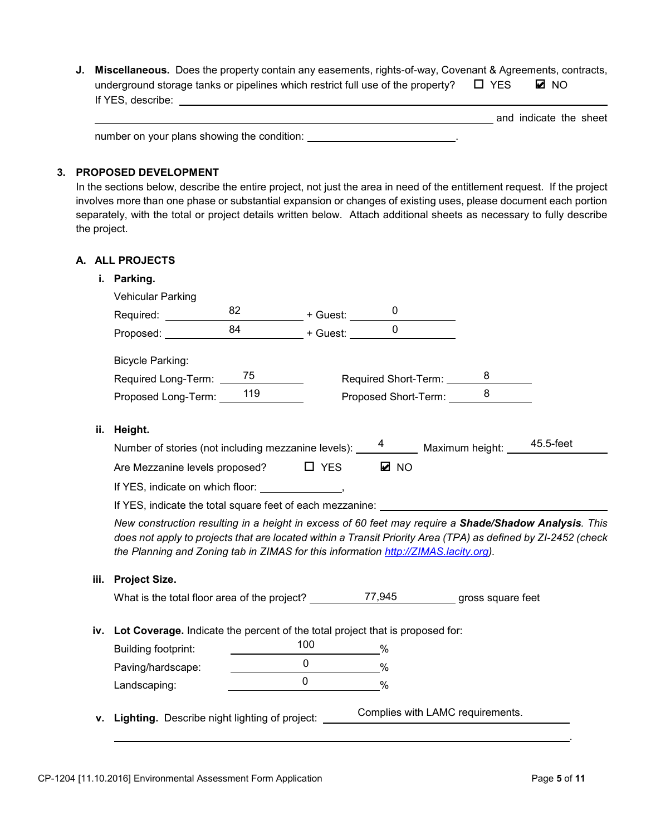**J. Miscellaneous.** Does the property contain any easements, rights-of-way, Covenant & Agreements, contracts, underground storage tanks or pipelines which restrict full use of the property?  $\square$  YES If YES, describe: ■ NO

|                                             | and indicate the sheet |  |
|---------------------------------------------|------------------------|--|
| number on your plans showing the condition: |                        |  |

#### **3. PROPOSED DEVELOPMENT**

In the sections below, describe the entire project, not just the area in need of the entitlement request. If the project involves more than one phase or substantial expansion or changes of existing uses, please document each portion separately, with the total or project details written below. Attach additional sheets as necessary to fully describe the project.

### **A. ALL PROJECTS**

|  | Parking. |
|--|----------|
|--|----------|

|      | <b>Vehicular Parking</b><br>Required: ___________                                                                                                                                                                                                                                                             | $82$ + Guest: $0$ |                                                                    |                                  |                |  |
|------|---------------------------------------------------------------------------------------------------------------------------------------------------------------------------------------------------------------------------------------------------------------------------------------------------------------|-------------------|--------------------------------------------------------------------|----------------------------------|----------------|--|
|      | Proposed:                                                                                                                                                                                                                                                                                                     |                   |                                                                    |                                  | $\overline{0}$ |  |
|      | <b>Bicycle Parking:</b>                                                                                                                                                                                                                                                                                       |                   |                                                                    |                                  |                |  |
|      | Required Long-Term: 75                                                                                                                                                                                                                                                                                        |                   |                                                                    | Required Short-Term: _________8  |                |  |
|      | Proposed Long-Term: 119                                                                                                                                                                                                                                                                                       |                   |                                                                    | Proposed Short-Term: ____ 8      |                |  |
| ii.  | Height.                                                                                                                                                                                                                                                                                                       |                   |                                                                    |                                  |                |  |
|      | Number of stories (not including mezzanine levels): 4 Maximum height: 45.5-feet                                                                                                                                                                                                                               |                   |                                                                    |                                  |                |  |
|      | Are Mezzanine levels proposed? $\Box$ YES                                                                                                                                                                                                                                                                     |                   |                                                                    | <b>Ø</b> NO                      |                |  |
|      | If YES, indicate on which floor: _________________,                                                                                                                                                                                                                                                           |                   |                                                                    |                                  |                |  |
|      |                                                                                                                                                                                                                                                                                                               |                   |                                                                    |                                  |                |  |
|      | New construction resulting in a height in excess of 60 feet may require a Shade/Shadow Analysis. This<br>does not apply to projects that are located within a Transit Priority Area (TPA) as defined by ZI-2452 (check<br>the Planning and Zoning tab in ZIMAS for this information http://ZIMAS.lacity.org). |                   |                                                                    |                                  |                |  |
| iii. | <b>Project Size.</b>                                                                                                                                                                                                                                                                                          |                   |                                                                    |                                  |                |  |
|      |                                                                                                                                                                                                                                                                                                               |                   |                                                                    |                                  |                |  |
|      | iv. Lot Coverage. Indicate the percent of the total project that is proposed for:                                                                                                                                                                                                                             |                   |                                                                    |                                  |                |  |
|      | Building footprint:                                                                                                                                                                                                                                                                                           |                   | 100<br>$\sim$ $\sim$ $\sim$                                        |                                  |                |  |
|      | Paving/hardscape:                                                                                                                                                                                                                                                                                             |                   | $\frac{0}{\sqrt{2}}$ %                                             |                                  |                |  |
|      | Landscaping:                                                                                                                                                                                                                                                                                                  |                   | $\begin{array}{c c} 0 & \text{if } x \neq 0 \\ \hline \end{array}$ | $\frac{0}{0}$                    |                |  |
|      | v. Lighting. Describe night lighting of project:                                                                                                                                                                                                                                                              |                   |                                                                    | Complies with LAMC requirements. |                |  |

.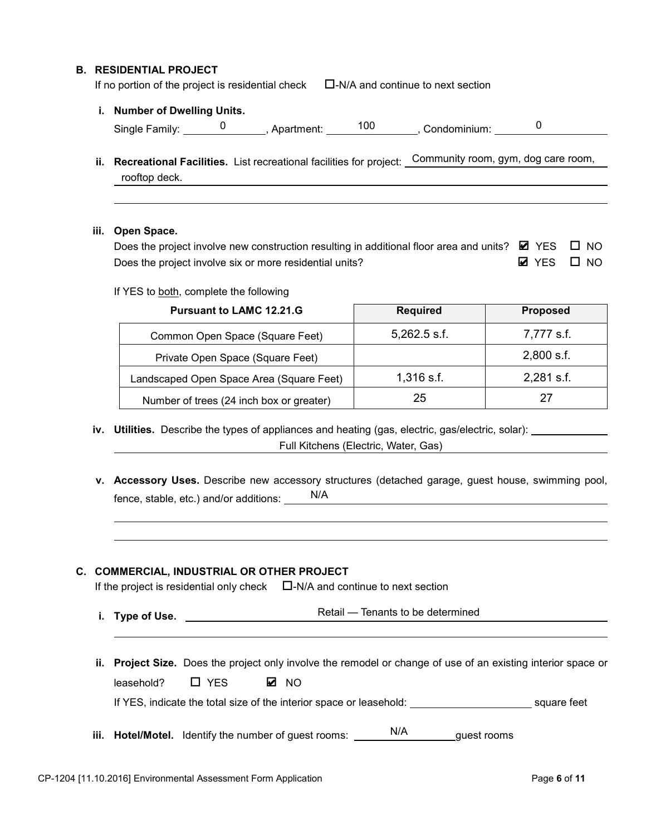#### **B. RESIDENTIAL PROJECT**

If no portion of the project is residential check  $\square$ -N/A and continue to next section

**i. Number of Dwelling Units.**

| Single<br>∠ Familv∵ | ortmont:<br>snartmer<br>31 I L | 100 | Condominium: |  |
|---------------------|--------------------------------|-----|--------------|--|
|                     |                                |     |              |  |

**ii. Recreational Facilities.** List recreational facilities for project: Community room, gym, dog care room, rooftop deck.

#### **iii. Open Space.**

| Does the project involve new construction resulting in additional floor area and units? $\boxtimes$ YES $\Box$ NO |                           |  |
|-------------------------------------------------------------------------------------------------------------------|---------------------------|--|
| Does the project involve six or more residential units?                                                           | $\boxtimes$ YES $\Box$ NO |  |

If YES to both, complete the following

| <b>Pursuant to LAMC 12.21.G</b>          | <b>Required</b> | <b>Proposed</b> |
|------------------------------------------|-----------------|-----------------|
| Common Open Space (Square Feet)          | $5,262.5$ s.f.  | 7,777 s.f.      |
| Private Open Space (Square Feet)         |                 | $2,800$ s.f.    |
| Landscaped Open Space Area (Square Feet) | $1,316$ s.f.    | 2,281 s.f.      |
| Number of trees (24 inch box or greater) | 25              |                 |

iv. Utilities. Describe the types of appliances and heating (gas, electric, gas/electric, solar): \_\_

Full Kitchens (Electric, Water, Gas)

**v. Accessory Uses.** Describe new accessory structures (detached garage, guest house, swimming pool, fence, stable, etc.) and/or additions: N/A

#### **C. COMMERCIAL, INDUSTRIAL OR OTHER PROJECT**

If the project is residential only check  $\square$ -N/A and continue to next section

- **i. Type of Use.**  Retail Tenants to be determined
- **ii. Project Size.** Does the project only involve the remodel or change of use of an existing interior space or  $leasehold?$   $\Box$  YES If YES, indicate the total size of the interior space or leasehold: square feet ✔
- iii. Hotel/Motel. Identify the number of guest rooms: N/A state guest rooms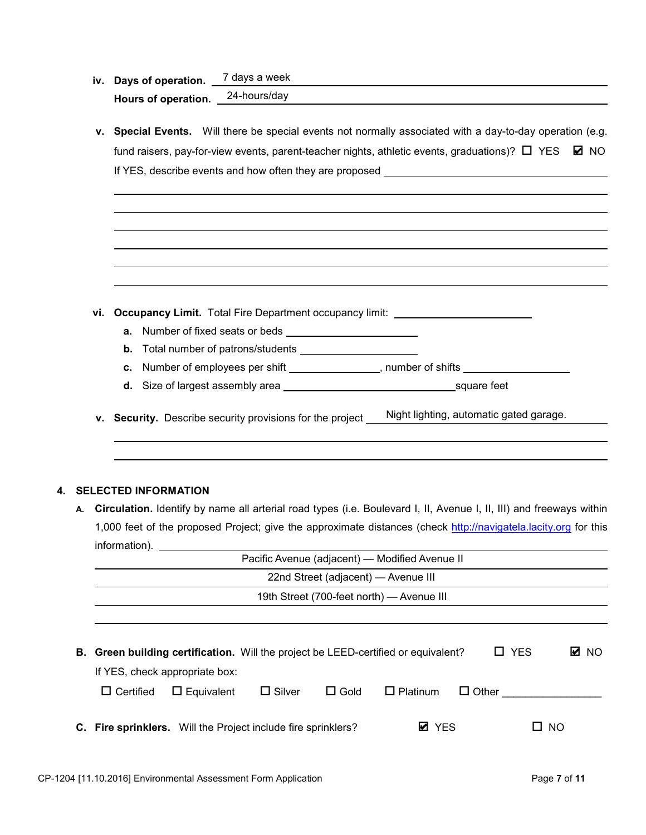| iv. Days of operation. | 7 days a week |
|------------------------|---------------|
| Hours of operation.    | 24-hours/day  |

**v. Special Events.** Will there be special events not normally associated with a day-to-day operation (e.g. fund raisers, pay-for-view events, parent-teacher nights, athletic events, graduations)?  $\Box$  YES  $\boxdot$  NO If YES, describe events and how often they are proposed

|    | vi. | <b>Occupancy Limit.</b> Total Fire Department occupancy limit: _______________________ |  |                                                |                                                                                                                     |      |
|----|-----|----------------------------------------------------------------------------------------|--|------------------------------------------------|---------------------------------------------------------------------------------------------------------------------|------|
|    |     |                                                                                        |  |                                                |                                                                                                                     |      |
|    | b.  |                                                                                        |  |                                                |                                                                                                                     |      |
|    | c.  |                                                                                        |  |                                                | Number of employees per shift ___________________, number of shifts _____________                                   |      |
|    |     |                                                                                        |  |                                                |                                                                                                                     |      |
|    |     |                                                                                        |  |                                                | Night lighting, automatic gated garage.                                                                             |      |
|    |     | v. Security. Describe security provisions for the project _                            |  |                                                |                                                                                                                     |      |
|    |     |                                                                                        |  |                                                |                                                                                                                     |      |
|    |     |                                                                                        |  |                                                |                                                                                                                     |      |
|    |     |                                                                                        |  |                                                |                                                                                                                     |      |
| 4. |     |                                                                                        |  |                                                |                                                                                                                     |      |
| А. |     | <b>SELECTED INFORMATION</b>                                                            |  |                                                |                                                                                                                     |      |
|    |     |                                                                                        |  |                                                | Circulation. Identify by name all arterial road types (i.e. Boulevard I, II, Avenue I, II, III) and freeways within |      |
|    |     |                                                                                        |  |                                                | 1,000 feet of the proposed Project; give the approximate distances (check http://navigatela.lacity.org for this     |      |
|    |     | information).                                                                          |  | Pacific Avenue (adjacent) - Modified Avenue II |                                                                                                                     |      |
|    |     |                                                                                        |  | 22nd Street (adjacent) - Avenue III            |                                                                                                                     |      |
|    |     |                                                                                        |  | 19th Street (700-feet north) - Avenue III      |                                                                                                                     |      |
|    |     |                                                                                        |  |                                                |                                                                                                                     |      |
|    |     |                                                                                        |  |                                                |                                                                                                                     |      |
| В. |     | Green building certification. Will the project be LEED-certified or equivalent?        |  |                                                | $\Box$ YES                                                                                                          | M NO |
|    |     | If YES, check appropriate box:                                                         |  |                                                |                                                                                                                     |      |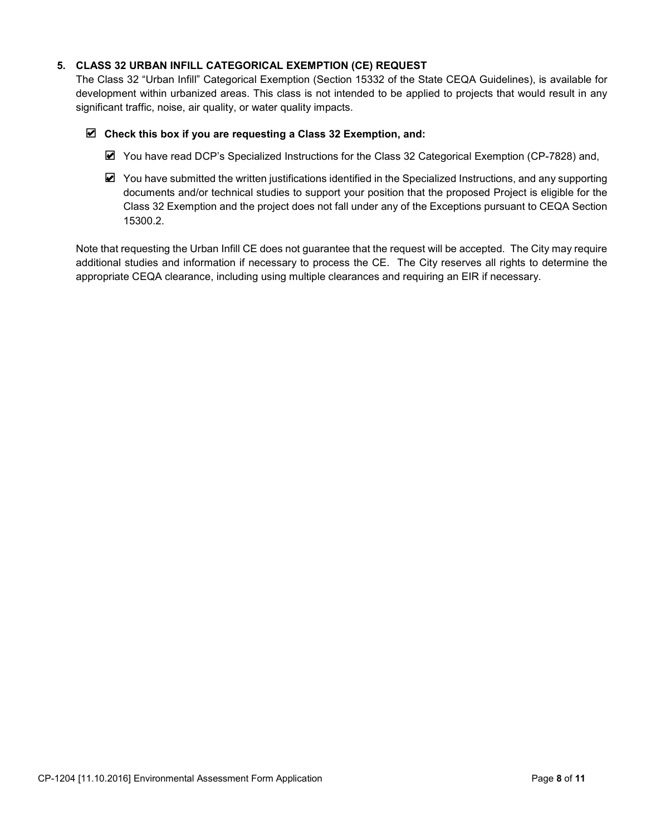## **5. CLASS 32 URBAN INFILL CATEGORICAL EXEMPTION (CE) REQUEST**

The Class 32 "Urban Infill" Categorical Exemption (Section 15332 of the State CEQA Guidelines), is available for development within urbanized areas. This class is not intended to be applied to projects that would result in any significant traffic, noise, air quality, or water quality impacts.

### **Check this box if you are requesting a Class 32 Exemption, and:** ✔

- You have read DCP's Specialized Instructions for the Class 32 Categorical Exemption (CP-7828) and,
- You have submitted the written justifications identified in the Specialized Instructions, and any supporting documents and/or technical studies to support your position that the proposed Project is eligible for the Class 32 Exemption and the project does not fall under any of the Exceptions pursuant to CEQA Section 15300.2.

Note that requesting the Urban Infill CE does not guarantee that the request will be accepted. The City may require additional studies and information if necessary to process the CE. The City reserves all rights to determine the appropriate CEQA clearance, including using multiple clearances and requiring an EIR if necessary.